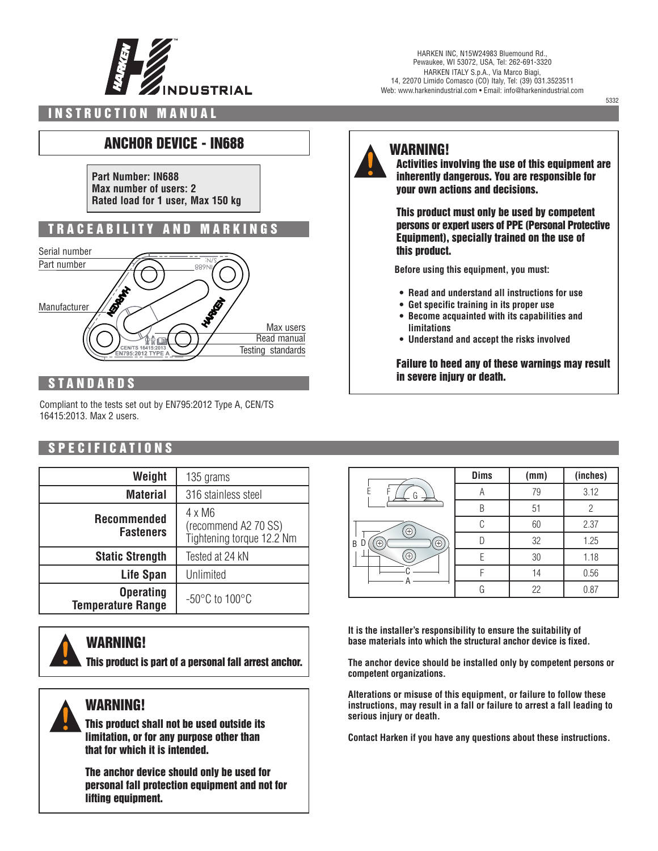

HARKEN INC, N15W24983 Bluemound Rd., Pewaukee, WI 53072, USA, Tel: 262-691-3320 HARKEN ITALY S.p.A., Via Marco Biagi, 14, 22070 Limido Comasco (CO) Italy, Tel: (39) 031.3523511 Web: www.harkenindustrial.com • Email: info@harkenindustrial.com

## INSTRUCTION MANUAL

## ANCHOR DEVICE - IN688

**Part Number: IN688 Max number of users: 2 Rated load for 1 user, Max 150 kg**



## **STANDARDS**

Compliant to the tests set out by EN795:2012 Type A, CEN/TS 16415:2013. Max 2 users.

## **SPECIFICATIONS**

| Weight                                       | 135 grams                                                          |
|----------------------------------------------|--------------------------------------------------------------------|
| <b>Material</b>                              | 316 stainless steel                                                |
| <b>Recommended</b><br><b>Fasteners</b>       | $4 \times M6$<br>(recommend A2 70 SS)<br>Tightening torque 12.2 Nm |
| <b>Static Strength</b>                       | Tested at 24 kN                                                    |
| <b>Life Span</b>                             | Unlimited                                                          |
| <b>Operating</b><br><b>Temperature Range</b> | $-50^{\circ}$ C to 100 $^{\circ}$ C                                |



## WARNING!

This product is part of a personal fall arrest anchor.



#### WARNING!

This product shall not be used outside its limitation, or for any purpose other than that for which it is intended.

The anchor device should only be used for personal fall protection equipment and not for lifting equipment.



## WARNING!

Activities involving the use of this equipment are inherently dangerous. You are responsible for your own actions and decisions.

5332

This product must only be used by competent persons or expert users of PPE (Personal Protective Equipment), specially trained on the use of this product.

**Before using this equipment, you must:**

- **Read and understand all instructions for use**
- **Get specific training in its proper use**
- **Become acquainted with its capabilities and limitations**
- **Understand and accept the risks involved**

Failure to heed any of these warnings may result in severe injury or death.

|                         | <b>Dims</b> | (mm) | (inches) |
|-------------------------|-------------|------|----------|
| ı٦                      |             | 79   | 3.12     |
|                         | R           | 51   |          |
| Æ.<br>B<br>Æ<br>Ή,<br>₩ |             | 60   | 2.37     |
|                         |             | 32   | 1.25     |
|                         |             | 30   | 1.18     |
|                         |             | 14   | 0.56     |
|                         |             | 22   | 0.87     |

**It is the installer's responsibility to ensure the suitability of base materials into which the structural anchor device is fixed.**

**The anchor device should be installed only by competent persons or competent organizations.**

**Alterations or misuse of this equipment, or failure to follow these instructions, may result in a fall or failure to arrest a fall leading to serious injury or death.**

**Contact Harken if you have any questions about these instructions.**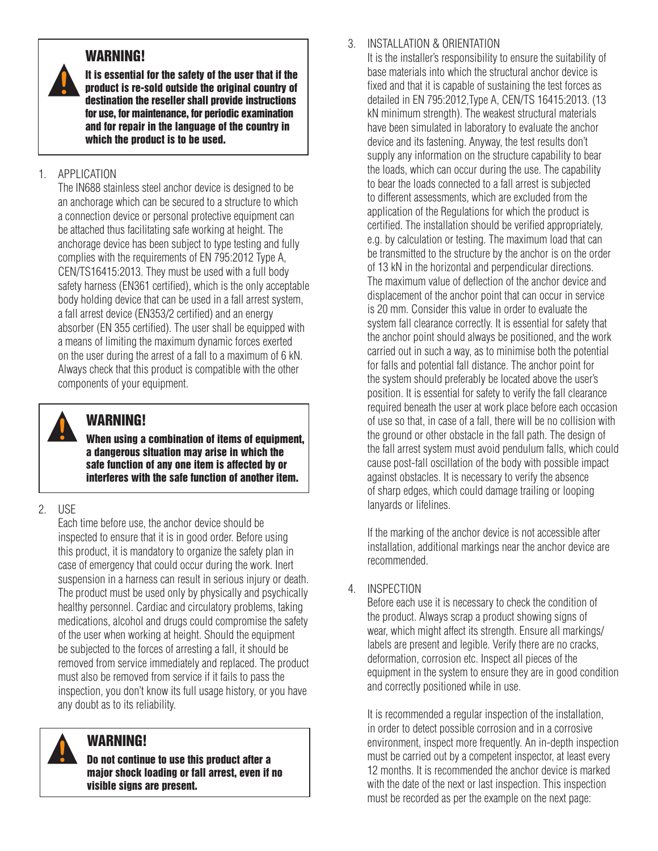## WARNING!

It is essential for the safety of the user that if the product is re-sold outside the original country of destination the reseller shall provide instructions for use, for maintenance, for periodic examination and for repair in the language of the country in which the product is to be used.

## 1. APPLICATION

The IN688 stainless steel anchor device is designed to be an anchorage which can be secured to a structure to which a connection device or personal protective equipment can be attached thus facilitating safe working at height. The anchorage device has been subject to type testing and fully complies with the requirements of EN 795:2012 Type A, CEN/TS16415:2013. They must be used with a full body safety harness (EN361 certified), which is the only acceptable body holding device that can be used in a fall arrest system, a fall arrest device (EN353/2 certified) and an energy absorber (EN 355 certified). The user shall be equipped with a means of limiting the maximum dynamic forces exerted on the user during the arrest of a fall to a maximum of 6 kN. Always check that this product is compatible with the other components of your equipment.



## WARNING!

When using a combination of items of equipment, a dangerous situation may arise in which the safe function of any one item is affected by or interferes with the safe function of another item.

#### 2. USE

Each time before use, the anchor device should be inspected to ensure that it is in good order. Before using this product, it is mandatory to organize the safety plan in case of emergency that could occur during the work. Inert suspension in a harness can result in serious injury or death. The product must be used only by physically and psychically healthy personnel. Cardiac and circulatory problems, taking medications, alcohol and drugs could compromise the safety of the user when working at height. Should the equipment be subjected to the forces of arresting a fall, it should be removed from service immediately and replaced. The product must also be removed from service if it fails to pass the inspection, you don't know its full usage history, or you have any doubt as to its reliability.

# WARNING!

Do not continue to use this product after a major shock loading or fall arrest, even if no visible signs are present.

## 3. INSTALLATION & ORIENTATION

It is the installer's responsibility to ensure the suitability of base materials into which the structural anchor device is fixed and that it is capable of sustaining the test forces as detailed in EN 795:2012,Type A, CEN/TS 16415:2013. (13 kN minimum strength). The weakest structural materials have been simulated in laboratory to evaluate the anchor device and its fastening. Anyway, the test results don't supply any information on the structure capability to bear the loads, which can occur during the use. The capability to bear the loads connected to a fall arrest is subjected to different assessments, which are excluded from the application of the Regulations for which the product is certified. The installation should be verified appropriately, e.g. by calculation or testing. The maximum load that can be transmitted to the structure by the anchor is on the order of 13 kN in the horizontal and perpendicular directions. The maximum value of deflection of the anchor device and displacement of the anchor point that can occur in service is 20 mm. Consider this value in order to evaluate the system fall clearance correctly. It is essential for safety that the anchor point should always be positioned, and the work carried out in such a way, as to minimise both the potential for falls and potential fall distance. The anchor point for the system should preferably be located above the user's position. It is essential for safety to verify the fall clearance required beneath the user at work place before each occasion of use so that, in case of a fall, there will be no collision with the ground or other obstacle in the fall path. The design of the fall arrest system must avoid pendulum falls, which could cause post-fall oscillation of the body with possible impact against obstacles. It is necessary to verify the absence of sharp edges, which could damage trailing or looping lanyards or lifelines.

If the marking of the anchor device is not accessible after installation, additional markings near the anchor device are recommended.

#### 4. INSPECTION

Before each use it is necessary to check the condition of the product. Always scrap a product showing signs of wear, which might affect its strength. Ensure all markings/ labels are present and legible. Verify there are no cracks, deformation, corrosion etc. Inspect all pieces of the equipment in the system to ensure they are in good condition and correctly positioned while in use.

It is recommended a regular inspection of the installation, in order to detect possible corrosion and in a corrosive environment, inspect more frequently. An in-depth inspection must be carried out by a competent inspector, at least every 12 months. It is recommended the anchor device is marked with the date of the next or last inspection. This inspection must be recorded as per the example on the next page: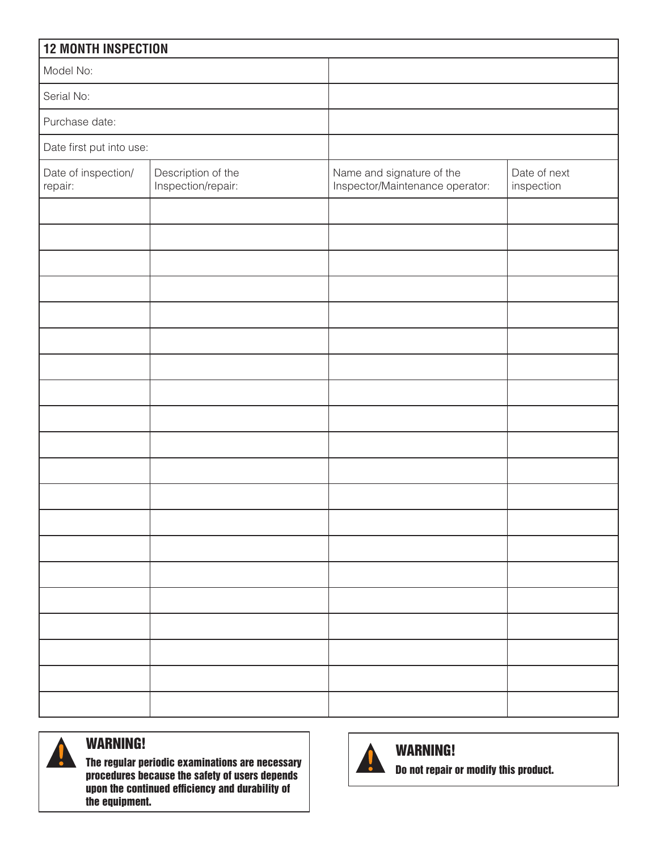| <b>12 MONTH INSPECTION</b>     |                                          |                                                              |                            |  |  |
|--------------------------------|------------------------------------------|--------------------------------------------------------------|----------------------------|--|--|
| Model No:                      |                                          |                                                              |                            |  |  |
| Serial No:                     |                                          |                                                              |                            |  |  |
| Purchase date:                 |                                          |                                                              |                            |  |  |
| Date first put into use:       |                                          |                                                              |                            |  |  |
| Date of inspection/<br>repair: | Description of the<br>Inspection/repair: | Name and signature of the<br>Inspector/Maintenance operator: | Date of next<br>inspection |  |  |
|                                |                                          |                                                              |                            |  |  |
|                                |                                          |                                                              |                            |  |  |
|                                |                                          |                                                              |                            |  |  |
|                                |                                          |                                                              |                            |  |  |
|                                |                                          |                                                              |                            |  |  |
|                                |                                          |                                                              |                            |  |  |
|                                |                                          |                                                              |                            |  |  |
|                                |                                          |                                                              |                            |  |  |
|                                |                                          |                                                              |                            |  |  |
|                                |                                          |                                                              |                            |  |  |
|                                |                                          |                                                              |                            |  |  |
|                                |                                          |                                                              |                            |  |  |
|                                |                                          |                                                              |                            |  |  |
|                                |                                          |                                                              |                            |  |  |
|                                |                                          |                                                              |                            |  |  |
|                                |                                          |                                                              |                            |  |  |
|                                |                                          |                                                              |                            |  |  |
|                                |                                          |                                                              |                            |  |  |
|                                |                                          |                                                              |                            |  |  |
|                                |                                          |                                                              |                            |  |  |



## WARNING!

The regular periodic examinations are necessary procedures because the safety of users depends upon the continued efficiency and durability of the equipment.



## WARNING!

Do not repair or modify this product.